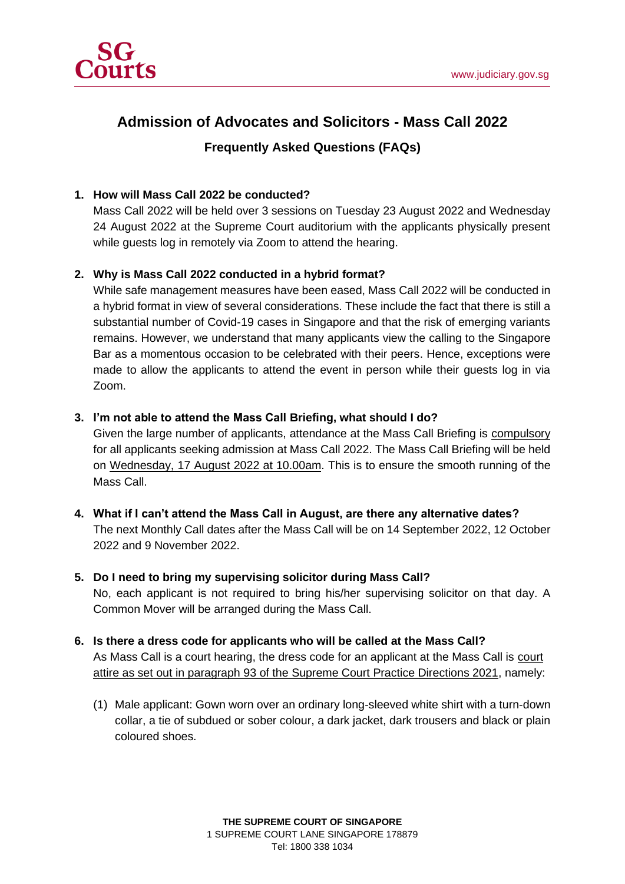

# **Admission of Advocates and Solicitors - Mass Call 2022**

# **Frequently Asked Questions (FAQs)**

#### **1. How will Mass Call 2022 be conducted?**

Mass Call 2022 will be held over 3 sessions on Tuesday 23 August 2022 and Wednesday 24 August 2022 at the Supreme Court auditorium with the applicants physically present while guests log in remotely via Zoom to attend the hearing.

### **2. Why is Mass Call 2022 conducted in a hybrid format?**

While safe management measures have been eased, Mass Call 2022 will be conducted in a hybrid format in view of several considerations. These include the fact that there is still a substantial number of Covid-19 cases in Singapore and that the risk of emerging variants remains. However, we understand that many applicants view the calling to the Singapore Bar as a momentous occasion to be celebrated with their peers. Hence, exceptions were made to allow the applicants to attend the event in person while their guests log in via Zoom.

#### **3. I'm not able to attend the Mass Call Briefing, what should I do?**

Given the large number of applicants, attendance at the Mass Call Briefing is compulsory for all applicants seeking admission at Mass Call 2022. The Mass Call Briefing will be held on Wednesday, 17 August 2022 at 10.00am. This is to ensure the smooth running of the Mass Call.

## **4. What if I can't attend the Mass Call in August, are there any alternative dates?** The next Monthly Call dates after the Mass Call will be on 14 September 2022, 12 October 2022 and 9 November 2022.

#### **5. Do I need to bring my supervising solicitor during Mass Call?**

No, each applicant is not required to bring his/her supervising solicitor on that day. A Common Mover will be arranged during the Mass Call.

- **6. Is there a dress code for applicants who will be called at the Mass Call?** As Mass Call is a court hearing, the dress code for an applicant at the Mass Call is court attire as set out in paragraph 93 of the Supreme Court Practice Directions 2021, namely:
	- (1) Male applicant: Gown worn over an ordinary long-sleeved white shirt with a turn-down collar, a tie of subdued or sober colour, a dark jacket, dark trousers and black or plain coloured shoes.